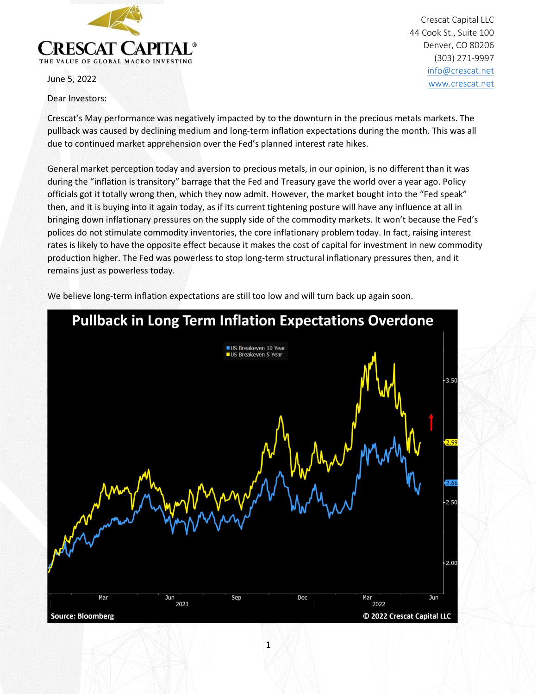

June 5, 2022

Dear Investors:

Crescat Capital LLC 44 Cook St., Suite 100 Denver, CO 80206 (303) 271-9997 [info@crescat.net](mailto:info@crescat.net) [www.crescat.net](http://www.crescat.net/)

Crescat's May performance was negatively impacted by to the downturn in the precious metals markets. The pullback was caused by declining medium and long-term inflation expectations during the month. This was all due to continued market apprehension over the Fed's planned interest rate hikes.

General market perception today and aversion to precious metals, in our opinion, is no different than it was during the "inflation is transitory" barrage that the Fed and Treasury gave the world over a year ago. Policy officials got it totally wrong then, which they now admit. However, the market bought into the "Fed speak" then, and it is buying into it again today, as if its current tightening posture will have any influence at all in bringing down inflationary pressures on the supply side of the commodity markets. It won't because the Fed's polices do not stimulate commodity inventories, the core inflationary problem today. In fact, raising interest rates is likely to have the opposite effect because it makes the cost of capital for investment in new commodity production higher. The Fed was powerless to stop long-term structural inflationary pressures then, and it remains just as powerless today.

We believe long-term inflation expectations are still too low and will turn back up again soon.

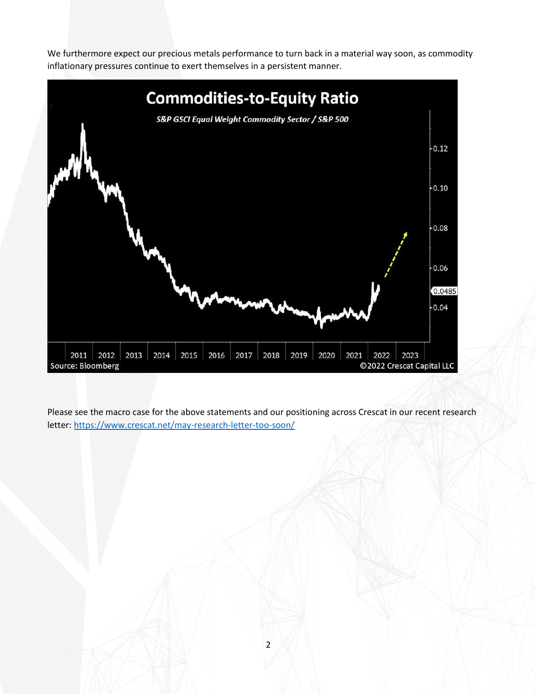We furthermore expect our precious metals performance to turn back in a material way soon, as commodity inflationary pressures continue to exert themselves in a persistent manner.



Please see the macro case for the above statements and our positioning across Crescat in our recent research letter: [https://www.crescat.net/may-research-letter-too-soon/](https://nam12.safelinks.protection.outlook.com/?url=https%3A%2F%2Fwww.crescat.net%2Fmay-research-letter-too-soon%2F&data=05%7C01%7CMIwahashi%40crescat.net%7Cb331d9dbcd8441635f4c08da466f0a0a%7C51261b99e6ea4f749131587017aaf12f%7C0%7C0%7C637899739973668955%7CUnknown%7CTWFpbGZsb3d8eyJWIjoiMC4wLjAwMDAiLCJQIjoiV2luMzIiLCJBTiI6Ik1haWwiLCJXVCI6Mn0%3D%7C3000%7C%7C%7C&sdata=nnWFQsKRAhnHdw1EPmtQ3sx0UObuMMQiZpgo2Cq43U0%3D&reserved=0)

2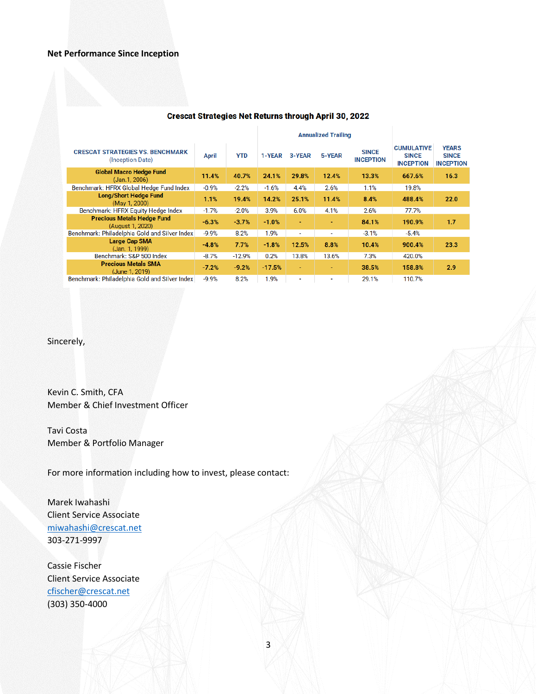## **Net Performance Since Inception**

| -------------                                               |              |            |                            |        |        |                                  |                                                       |                                                  |
|-------------------------------------------------------------|--------------|------------|----------------------------|--------|--------|----------------------------------|-------------------------------------------------------|--------------------------------------------------|
|                                                             |              |            | <b>Annualized Trailing</b> |        |        |                                  |                                                       |                                                  |
| <b>CRESCAT STRATEGIES VS. BENCHMARK</b><br>(Inception Date) | <b>April</b> | <b>YTD</b> | 1-YEAR                     | 3-YEAR | 5-YEAR | <b>SINCE</b><br><b>INCEPTION</b> | <b>CUMULATIVE</b><br><b>SINCE</b><br><b>INCEPTION</b> | <b>YEARS</b><br><b>SINCE</b><br><b>INCEPTION</b> |
| Global Macro Hedge Fund<br>(Jan.1, 2006)                    | 11.4%        | 40.7%      | 24.1%                      | 29.8%  | 12.4%  | 13.3%                            | 667.6%                                                | 16.3                                             |
| Benchmark: HFRX Global Hedge Fund Index                     | $-0.9%$      | $-2.2%$    | $-1.6%$                    | 4.4%   | 2.6%   | 1.1%                             | 19.8%                                                 |                                                  |
| <b>Long/Short Hedge Fund</b><br>(May 1, 2000)               | 1.1%         | 19.4%      | 14.2%                      | 25.1%  | 11.4%  | 8.4%                             | 488.4%                                                | 22.0                                             |
| Benchmark: HFRX Equity Hedge Index                          | $-1.7%$      | $-2.0%$    | 3.9%                       | 6.0%   | 4.1%   | 2.6%                             | 77.7%                                                 |                                                  |
| <b>Precious Metals Hedge Fund</b><br>(August 1, 2020)       | $-6.3%$      | $-3.7%$    | $-1.0%$                    | ٠      | ٠      | 84.1%                            | 190.9%                                                | 1.7                                              |
| Benchmark: Philadelphia Gold and Silver Index               | $-9.9%$      | 8.2%       | 1.9%                       | ۰      | ۰      | $-3.1%$                          | $-5.4%$                                               |                                                  |
| Large Cap SMA<br>(Jan. 1, 1999)                             | $-4.8%$      | 7.7%       | $-1.8%$                    | 12.5%  | 8.8%   | 10.4%                            | 900.4%                                                | 23.3                                             |
| Benchmark: S&P 500 Index                                    | $-8.7%$      | $-12.9%$   | 0.2%                       | 13.8%  | 13.6%  | 7.3%                             | 420.0%                                                |                                                  |
| <b>Precious Metals SMA</b><br>(June 1, 2019)                | $-7.2%$      | $-9.2%$    | $-17.5%$                   | ٠      | ٠      | 38.5%                            | 158.8%                                                | 2.9                                              |
| Benchmark: Philadelphia Gold and Silver Index               | $-9.9%$      | 8.2%       | 1.9%                       | ٠      | ٠      | 29.1%                            | 110.7%                                                |                                                  |

## **Crescat Strategies Net Returns through April 30, 2022**

Sincerely,

Kevin C. Smith, CFA Member & Chief Investment Officer

Tavi Costa Member & Portfolio Manager

For more information including how to invest, please contact:

Marek Iwahashi Client Service Associate [miwahashi@crescat.net](mailto:miwahashi@crescat.net) 303-271-9997

Cassie Fischer Client Service Associate [cfischer@crescat.net](mailto:cfischer@crescat.net) (303) 350-4000

3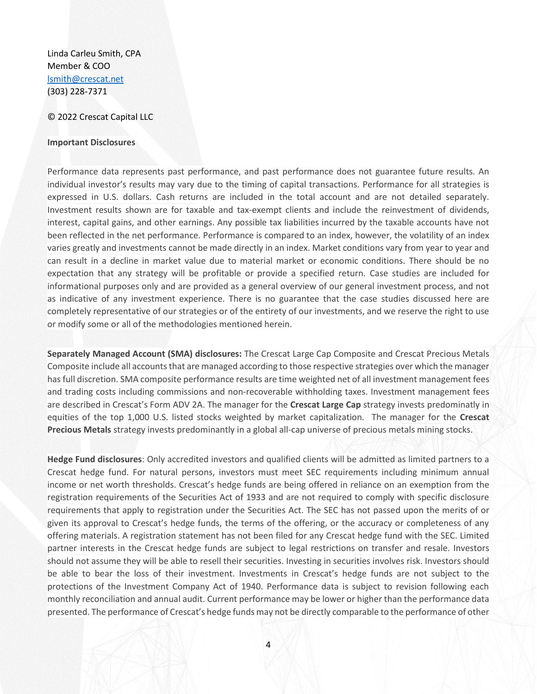Linda Carleu Smith, CPA Member & COO [lsmith@crescat.net](mailto:lsmith@crescat.net) (303) 228-7371

## © 2022 Crescat Capital LLC

## **Important Disclosures**

Performance data represents past performance, and past performance does not guarantee future results. An individual investor's results may vary due to the timing of capital transactions. Performance for all strategies is expressed in U.S. dollars. Cash returns are included in the total account and are not detailed separately. Investment results shown are for taxable and tax-exempt clients and include the reinvestment of dividends, interest, capital gains, and other earnings. Any possible tax liabilities incurred by the taxable accounts have not been reflected in the net performance. Performance is compared to an index, however, the volatility of an index varies greatly and investments cannot be made directly in an index. Market conditions vary from year to year and can result in a decline in market value due to material market or economic conditions. There should be no expectation that any strategy will be profitable or provide a specified return. Case studies are included for informational purposes only and are provided as a general overview of our general investment process, and not as indicative of any investment experience. There is no guarantee that the case studies discussed here are completely representative of our strategies or of the entirety of our investments, and we reserve the right to use or modify some or all of the methodologies mentioned herein.

**Separately Managed Account (SMA) disclosures:** The Crescat Large Cap Composite and Crescat Precious Metals Composite include all accounts that are managed according to those respective strategies over which the manager has full discretion. SMA composite performance results are time weighted net of all investment management fees and trading costs including commissions and non-recoverable withholding taxes. Investment management fees are described in Crescat's Form ADV 2A. The manager for the **Crescat Large Cap** strategy invests predominatly in equities of the top 1,000 U.S. listed stocks weighted by market capitalization. The manager for the **Crescat Precious Metals** strategy invests predominantly in a global all-cap universe of precious metals mining stocks.

**Hedge Fund disclosures**: Only accredited investors and qualified clients will be admitted as limited partners to a Crescat hedge fund. For natural persons, investors must meet SEC requirements including minimum annual income or net worth thresholds. Crescat's hedge funds are being offered in reliance on an exemption from the registration requirements of the Securities Act of 1933 and are not required to comply with specific disclosure requirements that apply to registration under the Securities Act. The SEC has not passed upon the merits of or given its approval to Crescat's hedge funds, the terms of the offering, or the accuracy or completeness of any offering materials. A registration statement has not been filed for any Crescat hedge fund with the SEC. Limited partner interests in the Crescat hedge funds are subject to legal restrictions on transfer and resale. Investors should not assume they will be able to resell their securities. Investing in securities involves risk. Investors should be able to bear the loss of their investment. Investments in Crescat's hedge funds are not subject to the protections of the Investment Company Act of 1940. Performance data is subject to revision following each monthly reconciliation and annual audit. Current performance may be lower or higher than the performance data presented. The performance of Crescat's hedge funds may not be directly comparable to the performance of other